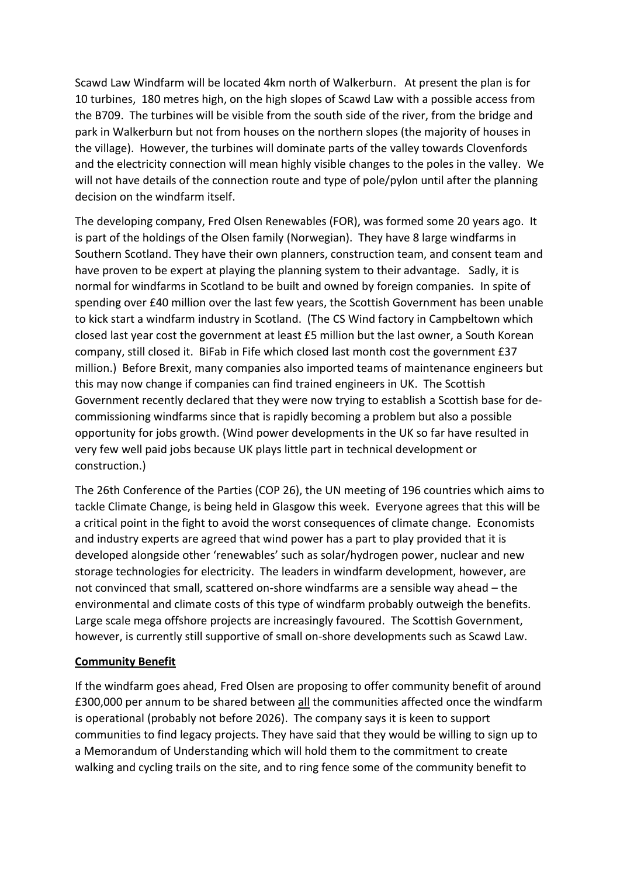Scawd Law Windfarm will be located 4km north of Walkerburn. At present the plan is for 10 turbines, 180 metres high, on the high slopes of Scawd Law with a possible access from the B709. The turbines will be visible from the south side of the river, from the bridge and park in Walkerburn but not from houses on the northern slopes (the majority of houses in the village). However, the turbines will dominate parts of the valley towards Clovenfords and the electricity connection will mean highly visible changes to the poles in the valley. We will not have details of the connection route and type of pole/pylon until after the planning decision on the windfarm itself.

The developing company, Fred Olsen Renewables (FOR), was formed some 20 years ago. It is part of the holdings of the Olsen family (Norwegian). They have 8 large windfarms in Southern Scotland. They have their own planners, construction team, and consent team and have proven to be expert at playing the planning system to their advantage. Sadly, it is normal for windfarms in Scotland to be built and owned by foreign companies. In spite of spending over £40 million over the last few years, the Scottish Government has been unable to kick start a windfarm industry in Scotland. (The CS Wind factory in Campbeltown which closed last year cost the government at least £5 million but the last owner, a South Korean company, still closed it. BiFab in Fife which closed last month cost the government £37 million.) Before Brexit, many companies also imported teams of maintenance engineers but this may now change if companies can find trained engineers in UK. The Scottish Government recently declared that they were now trying to establish a Scottish base for decommissioning windfarms since that is rapidly becoming a problem but also a possible opportunity for jobs growth. (Wind power developments in the UK so far have resulted in very few well paid jobs because UK plays little part in technical development or construction.)

The 26th Conference of the Parties (COP 26), the UN meeting of 196 countries which aims to tackle Climate Change, is being held in Glasgow this week. Everyone agrees that this will be a critical point in the fight to avoid the worst consequences of climate change. Economists and industry experts are agreed that wind power has a part to play provided that it is developed alongside other 'renewables' such as solar/hydrogen power, nuclear and new storage technologies for electricity. The leaders in windfarm development, however, are not convinced that small, scattered on-shore windfarms are a sensible way ahead – the environmental and climate costs of this type of windfarm probably outweigh the benefits. Large scale mega offshore projects are increasingly favoured. The Scottish Government, however, is currently still supportive of small on-shore developments such as Scawd Law.

## **Community Benefit**

If the windfarm goes ahead, Fred Olsen are proposing to offer community benefit of around £300,000 per annum to be shared between all the communities affected once the windfarm is operational (probably not before 2026). The company says it is keen to support communities to find legacy projects. They have said that they would be willing to sign up to a Memorandum of Understanding which will hold them to the commitment to create walking and cycling trails on the site, and to ring fence some of the community benefit to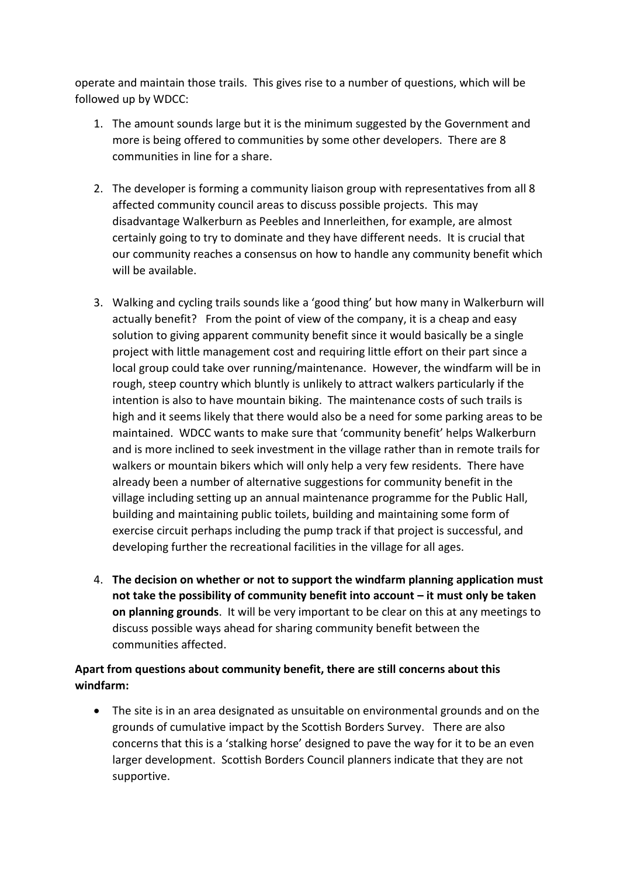operate and maintain those trails. This gives rise to a number of questions, which will be followed up by WDCC:

- 1. The amount sounds large but it is the minimum suggested by the Government and more is being offered to communities by some other developers. There are 8 communities in line for a share.
- 2. The developer is forming a community liaison group with representatives from all 8 affected community council areas to discuss possible projects. This may disadvantage Walkerburn as Peebles and Innerleithen, for example, are almost certainly going to try to dominate and they have different needs. It is crucial that our community reaches a consensus on how to handle any community benefit which will be available.
- 3. Walking and cycling trails sounds like a 'good thing' but how many in Walkerburn will actually benefit? From the point of view of the company, it is a cheap and easy solution to giving apparent community benefit since it would basically be a single project with little management cost and requiring little effort on their part since a local group could take over running/maintenance. However, the windfarm will be in rough, steep country which bluntly is unlikely to attract walkers particularly if the intention is also to have mountain biking. The maintenance costs of such trails is high and it seems likely that there would also be a need for some parking areas to be maintained. WDCC wants to make sure that 'community benefit' helps Walkerburn and is more inclined to seek investment in the village rather than in remote trails for walkers or mountain bikers which will only help a very few residents. There have already been a number of alternative suggestions for community benefit in the village including setting up an annual maintenance programme for the Public Hall, building and maintaining public toilets, building and maintaining some form of exercise circuit perhaps including the pump track if that project is successful, and developing further the recreational facilities in the village for all ages.
- 4. **The decision on whether or not to support the windfarm planning application must not take the possibility of community benefit into account – it must only be taken on planning grounds**. It will be very important to be clear on this at any meetings to discuss possible ways ahead for sharing community benefit between the communities affected.

## **Apart from questions about community benefit, there are still concerns about this windfarm:**

• The site is in an area designated as unsuitable on environmental grounds and on the grounds of cumulative impact by the Scottish Borders Survey. There are also concerns that this is a 'stalking horse' designed to pave the way for it to be an even larger development. Scottish Borders Council planners indicate that they are not supportive.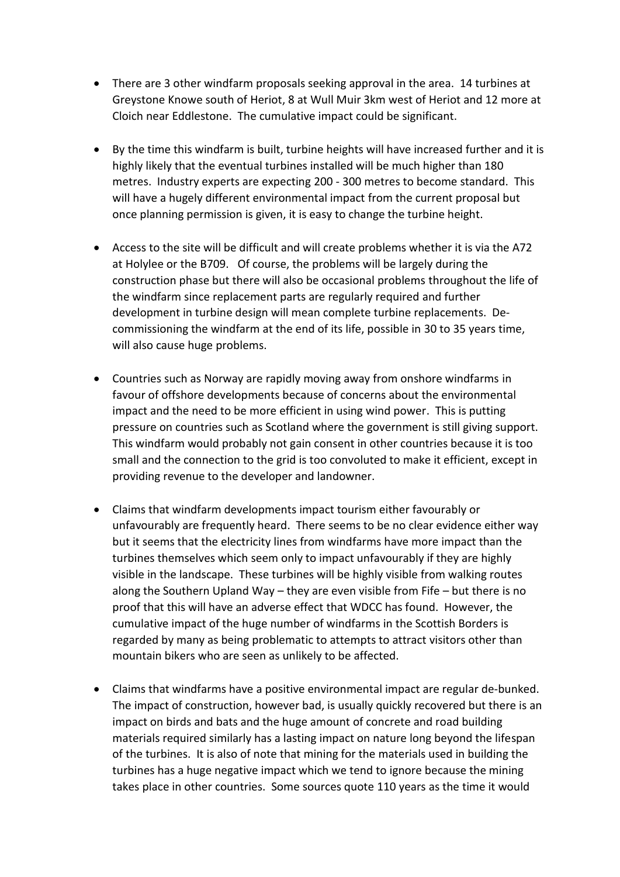- There are 3 other windfarm proposals seeking approval in the area. 14 turbines at Greystone Knowe south of Heriot, 8 at Wull Muir 3km west of Heriot and 12 more at Cloich near Eddlestone. The cumulative impact could be significant.
- By the time this windfarm is built, turbine heights will have increased further and it is highly likely that the eventual turbines installed will be much higher than 180 metres. Industry experts are expecting 200 - 300 metres to become standard. This will have a hugely different environmental impact from the current proposal but once planning permission is given, it is easy to change the turbine height.
- Access to the site will be difficult and will create problems whether it is via the A72 at Holylee or the B709. Of course, the problems will be largely during the construction phase but there will also be occasional problems throughout the life of the windfarm since replacement parts are regularly required and further development in turbine design will mean complete turbine replacements. Decommissioning the windfarm at the end of its life, possible in 30 to 35 years time, will also cause huge problems.
- Countries such as Norway are rapidly moving away from onshore windfarms in favour of offshore developments because of concerns about the environmental impact and the need to be more efficient in using wind power. This is putting pressure on countries such as Scotland where the government is still giving support. This windfarm would probably not gain consent in other countries because it is too small and the connection to the grid is too convoluted to make it efficient, except in providing revenue to the developer and landowner.
- Claims that windfarm developments impact tourism either favourably or unfavourably are frequently heard. There seems to be no clear evidence either way but it seems that the electricity lines from windfarms have more impact than the turbines themselves which seem only to impact unfavourably if they are highly visible in the landscape. These turbines will be highly visible from walking routes along the Southern Upland Way – they are even visible from Fife – but there is no proof that this will have an adverse effect that WDCC has found. However, the cumulative impact of the huge number of windfarms in the Scottish Borders is regarded by many as being problematic to attempts to attract visitors other than mountain bikers who are seen as unlikely to be affected.
- Claims that windfarms have a positive environmental impact are regular de-bunked. The impact of construction, however bad, is usually quickly recovered but there is an impact on birds and bats and the huge amount of concrete and road building materials required similarly has a lasting impact on nature long beyond the lifespan of the turbines. It is also of note that mining for the materials used in building the turbines has a huge negative impact which we tend to ignore because the mining takes place in other countries. Some sources quote 110 years as the time it would